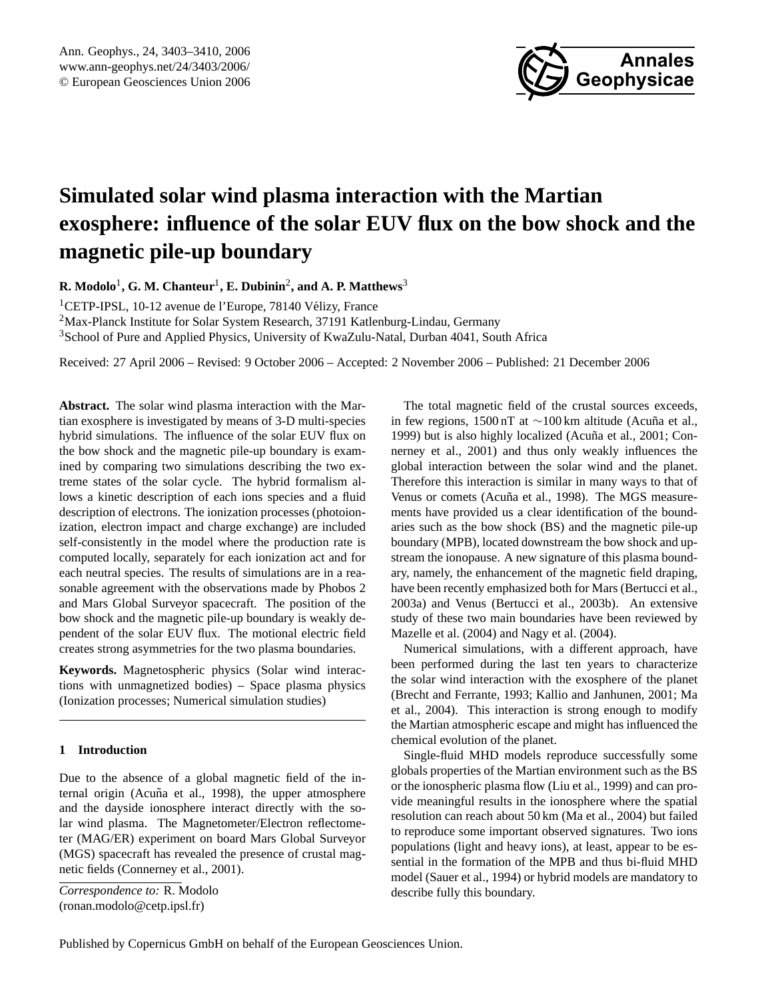

# <span id="page-0-0"></span>**Simulated solar wind plasma interaction with the Martian exosphere: influence of the solar EUV flux on the bow shock and the magnetic pile-up boundary**

**R. Modolo**<sup>1</sup> **, G. M. Chanteur**<sup>1</sup> **, E. Dubinin**<sup>2</sup> **, and A. P. Matthews**<sup>3</sup>

<sup>1</sup>CETP-IPSL, 10-12 avenue de l'Europe, 78140 Vélizy, France <sup>2</sup>Max-Planck Institute for Solar System Research, 37191 Katlenburg-Lindau, Germany

<sup>3</sup>School of Pure and Applied Physics, University of KwaZulu-Natal, Durban 4041, South Africa

Received: 27 April 2006 – Revised: 9 October 2006 – Accepted: 2 November 2006 – Published: 21 December 2006

**Abstract.** The solar wind plasma interaction with the Martian exosphere is investigated by means of 3-D multi-species hybrid simulations. The influence of the solar EUV flux on the bow shock and the magnetic pile-up boundary is examined by comparing two simulations describing the two extreme states of the solar cycle. The hybrid formalism allows a kinetic description of each ions species and a fluid description of electrons. The ionization processes (photoionization, electron impact and charge exchange) are included self-consistently in the model where the production rate is computed locally, separately for each ionization act and for each neutral species. The results of simulations are in a reasonable agreement with the observations made by Phobos 2 and Mars Global Surveyor spacecraft. The position of the bow shock and the magnetic pile-up boundary is weakly dependent of the solar EUV flux. The motional electric field creates strong asymmetries for the two plasma boundaries.

**Keywords.** Magnetospheric physics (Solar wind interactions with unmagnetized bodies) – Space plasma physics (Ionization processes; Numerical simulation studies)

# **1 Introduction**

Due to the absence of a global magnetic field of the in-ternal origin (Acuña et al., [1998\)](#page-6-0), the upper atmosphere and the dayside ionosphere interact directly with the solar wind plasma. The Magnetometer/Electron reflectometer (MAG/ER) experiment on board Mars Global Surveyor (MGS) spacecraft has revealed the presence of crustal magnetic fields [\(Connerney et al.,](#page-6-1) [2001\)](#page-6-1).

*Correspondence to:* R. Modolo (ronan.modolo@cetp.ipsl.fr)

The total magnetic field of the crustal sources exceeds, in few regions, 1500 nT at  $\sim$ 100 km altitude (Acuña et al., [1999\)](#page-6-2) but is also highly localized (Acuña et al., [2001;](#page-6-3) [Con](#page-6-1)[nerney et al.,](#page-6-1) [2001\)](#page-6-1) and thus only weakly influences the global interaction between the solar wind and the planet. Therefore this interaction is similar in many ways to that of Venus or comets (Acuña et al., [1998\)](#page-6-0). The MGS measurements have provided us a clear identification of the boundaries such as the bow shock (BS) and the magnetic pile-up boundary (MPB), located downstream the bow shock and upstream the ionopause. A new signature of this plasma boundary, namely, the enhancement of the magnetic field draping, have been recently emphasized both for Mars [\(Bertucci et al.,](#page-6-4) [2003a\)](#page-6-4) and Venus [\(Bertucci et al.,](#page-6-5) [2003b\)](#page-6-5). An extensive study of these two main boundaries have been reviewed by [Mazelle et al.](#page-7-0) [\(2004\)](#page-7-0) and [Nagy et al.](#page-7-1) [\(2004\)](#page-7-1).

Numerical simulations, with a different approach, have been performed during the last ten years to characterize the solar wind interaction with the exosphere of the planet [\(Brecht and Ferrante,](#page-6-6) [1993;](#page-6-6) [Kallio and Janhunen,](#page-7-2) [2001;](#page-7-2) [Ma](#page-7-3) [et al.,](#page-7-3) [2004\)](#page-7-3). This interaction is strong enough to modify the Martian atmospheric escape and might has influenced the chemical evolution of the planet.

Single-fluid MHD models reproduce successfully some globals properties of the Martian environment such as the BS or the ionospheric plasma flow [\(Liu et al.,](#page-7-4) [1999\)](#page-7-4) and can provide meaningful results in the ionosphere where the spatial resolution can reach about 50 km [\(Ma et al.,](#page-7-3) [2004\)](#page-7-3) but failed to reproduce some important observed signatures. Two ions populations (light and heavy ions), at least, appear to be essential in the formation of the MPB and thus bi-fluid MHD model [\(Sauer et al.,](#page-7-5) [1994\)](#page-7-5) or hybrid models are mandatory to describe fully this boundary.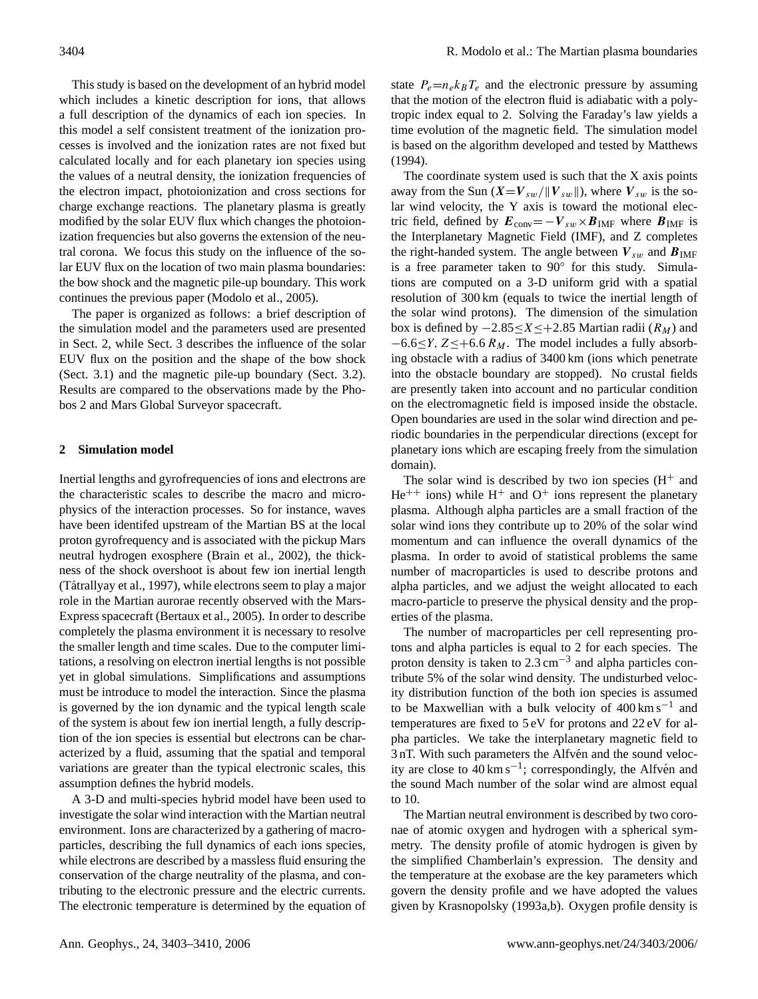This study is based on the development of an hybrid model which includes a kinetic description for ions, that allows a full description of the dynamics of each ion species. In this model a self consistent treatment of the ionization processes is involved and the ionization rates are not fixed but calculated locally and for each planetary ion species using the values of a neutral density, the ionization frequencies of the electron impact, photoionization and cross sections for charge exchange reactions. The planetary plasma is greatly modified by the solar EUV flux which changes the photoionization frequencies but also governs the extension of the neutral corona. We focus this study on the influence of the solar EUV flux on the location of two main plasma boundaries: the bow shock and the magnetic pile-up boundary. This work continues the previous paper [\(Modolo et al.,](#page-7-6) [2005\)](#page-7-6).

The paper is organized as follows: a brief description of the simulation model and the parameters used are presented in Sect. [2,](#page-1-0) while Sect. [3](#page-2-0) describes the influence of the solar EUV flux on the position and the shape of the bow shock (Sect. [3.1\)](#page-3-0) and the magnetic pile-up boundary (Sect. [3.2\)](#page-4-0). Results are compared to the observations made by the Phobos 2 and Mars Global Surveyor spacecraft.

## <span id="page-1-0"></span>**2 Simulation model**

Inertial lengths and gyrofrequencies of ions and electrons are the characteristic scales to describe the macro and microphysics of the interaction processes. So for instance, waves have been identifed upstream of the Martian BS at the local proton gyrofrequency and is associated with the pickup Mars neutral hydrogen exosphere [\(Brain et al.,](#page-6-7) [2002\)](#page-6-7), the thickness of the shock overshoot is about few ion inertial length (Tátrallyay et al., [1997\)](#page-7-7), while electrons seem to play a major role in the Martian aurorae recently observed with the Mars-Express spacecraft [\(Bertaux et al.,](#page-6-8) [2005\)](#page-6-8). In order to describe completely the plasma environment it is necessary to resolve the smaller length and time scales. Due to the computer limitations, a resolving on electron inertial lengths is not possible yet in global simulations. Simplifications and assumptions must be introduce to model the interaction. Since the plasma is governed by the ion dynamic and the typical length scale of the system is about few ion inertial length, a fully description of the ion species is essential but electrons can be characterized by a fluid, assuming that the spatial and temporal variations are greater than the typical electronic scales, this assumption defines the hybrid models.

A 3-D and multi-species hybrid model have been used to investigate the solar wind interaction with the Martian neutral environment. Ions are characterized by a gathering of macroparticles, describing the full dynamics of each ions species, while electrons are described by a massless fluid ensuring the conservation of the charge neutrality of the plasma, and contributing to the electronic pressure and the electric currents. The electronic temperature is determined by the equation of state  $P_e=n_e k_B T_e$  and the electronic pressure by assuming that the motion of the electron fluid is adiabatic with a polytropic index equal to 2. Solving the Faraday's law yields a time evolution of the magnetic field. The simulation model is based on the algorithm developed and tested by [Matthews](#page-7-8) [\(1994\)](#page-7-8).

The coordinate system used is such that the X axis points away from the Sun  $(X=V_{sw}/||V_{sw}||)$ , where  $V_{sw}$  is the solar wind velocity, the Y axis is toward the motional electric field, defined by  $E_{\text{conv}} = -V_{sw} \times B_{\text{IMF}}$  where  $B_{\text{IMF}}$  is the Interplanetary Magnetic Field (IMF), and Z completes the right-handed system. The angle between  $V_{sw}$  and  $B_{IMF}$ is a free parameter taken to 90° for this study. Simulations are computed on a 3-D uniform grid with a spatial resolution of 300 km (equals to twice the inertial length of the solar wind protons). The dimension of the simulation box is defined by  $-2.85 \le X \le +2.85$  Martian radii ( $R_M$ ) and  $-6.6 \le Y$ , Z $\le +6.6 R_M$ . The model includes a fully absorbing obstacle with a radius of 3400 km (ions which penetrate into the obstacle boundary are stopped). No crustal fields are presently taken into account and no particular condition on the electromagnetic field is imposed inside the obstacle. Open boundaries are used in the solar wind direction and periodic boundaries in the perpendicular directions (except for planetary ions which are escaping freely from the simulation domain).

The solar wind is described by two ion species  $(H<sup>+</sup>$  and  $He^{++}$  ions) while H<sup>+</sup> and O<sup>+</sup> ions represent the planetary plasma. Although alpha particles are a small fraction of the solar wind ions they contribute up to 20% of the solar wind momentum and can influence the overall dynamics of the plasma. In order to avoid of statistical problems the same number of macroparticles is used to describe protons and alpha particles, and we adjust the weight allocated to each macro-particle to preserve the physical density and the properties of the plasma.

The number of macroparticles per cell representing protons and alpha particles is equal to 2 for each species. The proton density is taken to  $2.3 \text{ cm}^{-3}$  and alpha particles contribute 5% of the solar wind density. The undisturbed velocity distribution function of the both ion species is assumed to be Maxwellian with a bulk velocity of 400 km s−<sup>1</sup> and temperatures are fixed to 5 eV for protons and 22 eV for alpha particles. We take the interplanetary magnetic field to 3 nT. With such parameters the Alfvén and the sound velocity are close to  $40 \text{ km s}^{-1}$ ; correspondingly, the Alfvén and the sound Mach number of the solar wind are almost equal to 10.

The Martian neutral environment is described by two coronae of atomic oxygen and hydrogen with a spherical symmetry. The density profile of atomic hydrogen is given by the simplified Chamberlain's expression. The density and the temperature at the exobase are the key parameters which govern the density profile and we have adopted the values given by [Krasnopolsky](#page-7-9) [\(1993a](#page-7-9)[,b\)](#page-7-10). Oxygen profile density is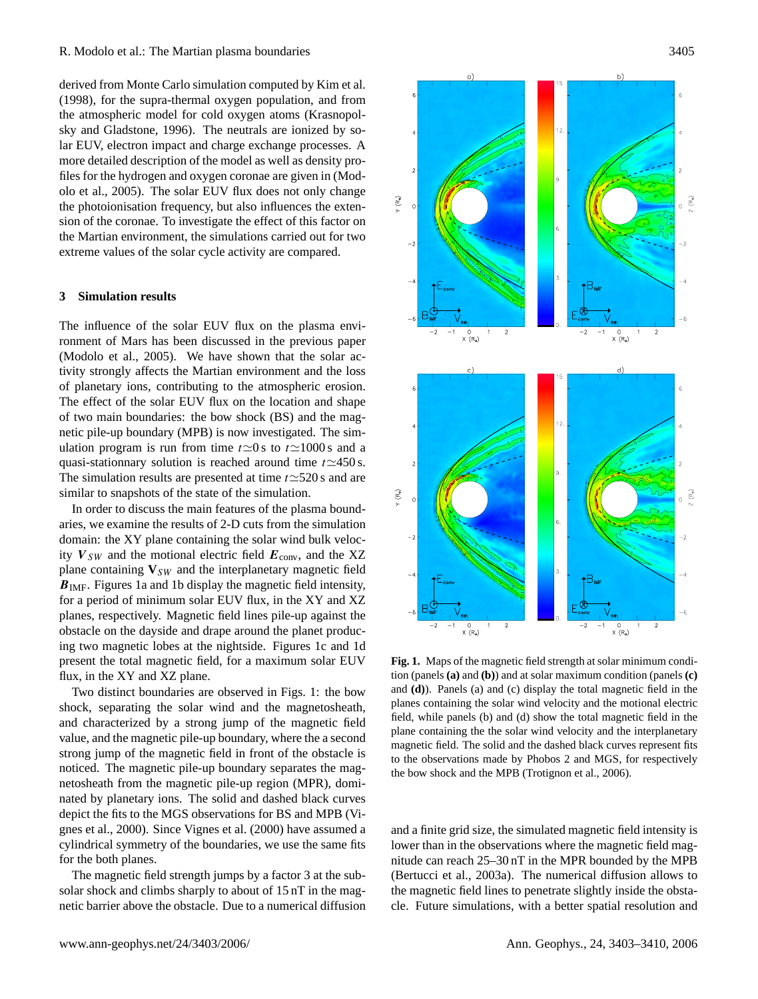derived from Monte Carlo simulation computed by [Kim et al.](#page-7-11) [\(1998\)](#page-7-11), for the supra-thermal oxygen population, and from the atmospheric model for cold oxygen atoms [\(Krasnopol](#page-7-12)[sky and Gladstone,](#page-7-12) [1996\)](#page-7-12). The neutrals are ionized by solar EUV, electron impact and charge exchange processes. A more detailed description of the model as well as density profiles for the hydrogen and oxygen coronae are given in [\(Mod](#page-7-6)[olo et al.,](#page-7-6) [2005\)](#page-7-6). The solar EUV flux does not only change the photoionisation frequency, but also influences the extension of the coronae. To investigate the effect of this factor on the Martian environment, the simulations carried out for two extreme values of the solar cycle activity are compared.

### <span id="page-2-0"></span>**3 Simulation results**

The influence of the solar EUV flux on the plasma environment of Mars has been discussed in the previous paper [\(Modolo et al.,](#page-7-6) [2005\)](#page-7-6). We have shown that the solar activity strongly affects the Martian environment and the loss of planetary ions, contributing to the atmospheric erosion. The effect of the solar EUV flux on the location and shape of two main boundaries: the bow shock (BS) and the magnetic pile-up boundary (MPB) is now investigated. The simulation program is run from time  $t\simeq 0$  s to  $t\simeq 1000$  s and a quasi-stationnary solution is reached around time  $t \approx 450$  s. The simulation results are presented at time  $t \approx 520$  s and are similar to snapshots of the state of the simulation.

In order to discuss the main features of the plasma boundaries, we examine the results of 2-D cuts from the simulation domain: the XY plane containing the solar wind bulk velocity  $V_{SW}$  and the motional electric field  $E_{conv}$ , and the XZ plane containing  $V_{SW}$  and the interplanetary magnetic field  $\mathbf{B}_{\text{IMF}}$ . Figures [1a](#page-2-1) and [1b](#page-2-1) display the magnetic field intensity, for a period of minimum solar EUV flux, in the XY and XZ planes, respectively. Magnetic field lines pile-up against the obstacle on the dayside and drape around the planet producing two magnetic lobes at the nightside. Figures [1c](#page-2-1) and [1d](#page-2-1) present the total magnetic field, for a maximum solar EUV flux, in the XY and XZ plane.

Two distinct boundaries are observed in Figs. [1:](#page-2-1) the bow shock, separating the solar wind and the magnetosheath, and characterized by a strong jump of the magnetic field value, and the magnetic pile-up boundary, where the a second strong jump of the magnetic field in front of the obstacle is noticed. The magnetic pile-up boundary separates the magnetosheath from the magnetic pile-up region (MPR), dominated by planetary ions. The solid and dashed black curves depict the fits to the MGS observations for BS and MPB [\(Vi](#page-7-13)[gnes et al.,](#page-7-13) [2000\)](#page-7-13). Since [Vignes et al.](#page-7-13) [\(2000\)](#page-7-13) have assumed a cylindrical symmetry of the boundaries, we use the same fits for the both planes.

The magnetic field strength jumps by a factor 3 at the subsolar shock and climbs sharply to about of 15 nT in the magnetic barrier above the obstacle. Due to a numerical diffusion



<span id="page-2-1"></span>**Fig. 1.** Maps of the magnetic field strength at solar minimum condition (panels **(a)** and **(b)**) and at solar maximum condition (panels **(c)** and **(d)**). Panels (a) and (c) display the total magnetic field in the planes containing the solar wind velocity and the motional electric field, while panels (b) and (d) show the total magnetic field in the plane containing the the solar wind velocity and the interplanetary magnetic field. The solid and the dashed black curves represent fits to the observations made by Phobos 2 and MGS, for respectively the bow shock and the MPB [\(Trotignon et al.,](#page-7-14) [2006\)](#page-7-14).

and a finite grid size, the simulated magnetic field intensity is lower than in the observations where the magnetic field magnitude can reach 25–30 nT in the MPR bounded by the MPB [\(Bertucci et al.,](#page-6-4) [2003a\)](#page-6-4). The numerical diffusion allows to the magnetic field lines to penetrate slightly inside the obstacle. Future simulations, with a better spatial resolution and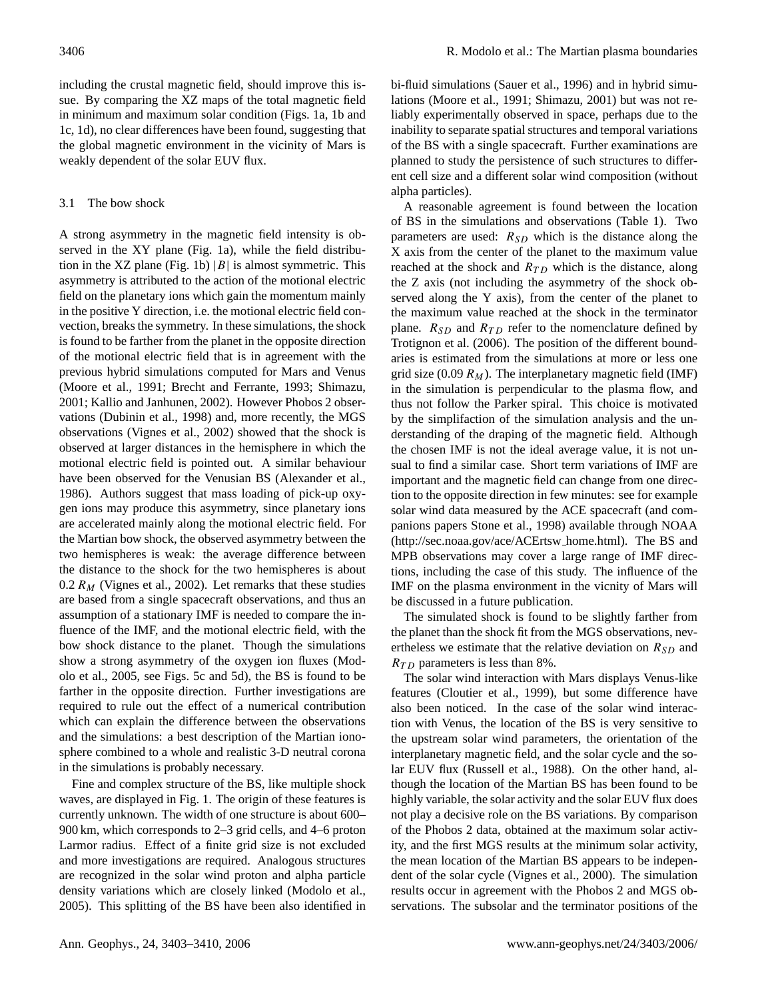including the crustal magnetic field, should improve this issue. By comparing the XZ maps of the total magnetic field in minimum and maximum solar condition (Figs. [1a](#page-2-1), 1b and [1c](#page-2-1), 1d), no clear differences have been found, suggesting that the global magnetic environment in the vicinity of Mars is weakly dependent of the solar EUV flux.

# <span id="page-3-0"></span>3.1 The bow shock

A strong asymmetry in the magnetic field intensity is observed in the XY plane (Fig. [1a](#page-2-1)), while the field distribu-tion in the XZ plane (Fig. [1b](#page-2-1))  $|B|$  is almost symmetric. This asymmetry is attributed to the action of the motional electric field on the planetary ions which gain the momentum mainly in the positive Y direction, i.e. the motional electric field convection, breaks the symmetry. In these simulations, the shock is found to be farther from the planet in the opposite direction of the motional electric field that is in agreement with the previous hybrid simulations computed for Mars and Venus [\(Moore et al.,](#page-7-15) [1991;](#page-7-15) [Brecht and Ferrante,](#page-6-6) [1993;](#page-6-6) [Shimazu,](#page-7-16) [2001;](#page-7-16) [Kallio and Janhunen,](#page-7-17) [2002\)](#page-7-17). However Phobos 2 observations [\(Dubinin et al.,](#page-6-9) [1998\)](#page-6-9) and, more recently, the MGS observations [\(Vignes et al.,](#page-7-18) [2002\)](#page-7-18) showed that the shock is observed at larger distances in the hemisphere in which the motional electric field is pointed out. A similar behaviour have been observed for the Venusian BS [\(Alexander et al.,](#page-6-10) [1986\)](#page-6-10). Authors suggest that mass loading of pick-up oxygen ions may produce this asymmetry, since planetary ions are accelerated mainly along the motional electric field. For the Martian bow shock, the observed asymmetry between the two hemispheres is weak: the average difference between the distance to the shock for the two hemispheres is about 0.2  $R_M$  [\(Vignes et al.,](#page-7-18) [2002\)](#page-7-18). Let remarks that these studies are based from a single spacecraft observations, and thus an assumption of a stationary IMF is needed to compare the influence of the IMF, and the motional electric field, with the bow shock distance to the planet. Though the simulations show a strong asymmetry of the oxygen ion fluxes [\(Mod](#page-7-6)[olo et al.,](#page-7-6) [2005,](#page-7-6) see Figs. 5c and 5d), the BS is found to be farther in the opposite direction. Further investigations are required to rule out the effect of a numerical contribution which can explain the difference between the observations and the simulations: a best description of the Martian ionosphere combined to a whole and realistic 3-D neutral corona in the simulations is probably necessary.

Fine and complex structure of the BS, like multiple shock waves, are displayed in Fig. [1.](#page-2-1) The origin of these features is currently unknown. The width of one structure is about 600– 900 km, which corresponds to 2–3 grid cells, and 4–6 proton Larmor radius. Effect of a finite grid size is not excluded and more investigations are required. Analogous structures are recognized in the solar wind proton and alpha particle density variations which are closely linked [\(Modolo et al.,](#page-7-6) [2005\)](#page-7-6). This splitting of the BS have been also identified in bi-fluid simulations [\(Sauer et al.,](#page-7-19) [1996\)](#page-7-19) and in hybrid simulations [\(Moore et al.,](#page-7-15) [1991;](#page-7-15) [Shimazu,](#page-7-16) [2001\)](#page-7-16) but was not reliably experimentally observed in space, perhaps due to the inability to separate spatial structures and temporal variations of the BS with a single spacecraft. Further examinations are planned to study the persistence of such structures to different cell size and a different solar wind composition (without alpha particles).

A reasonable agreement is found between the location of BS in the simulations and observations (Table [1\)](#page-4-1). Two parameters are used:  $R_{SD}$  which is the distance along the X axis from the center of the planet to the maximum value reached at the shock and  $R_{TD}$  which is the distance, along the Z axis (not including the asymmetry of the shock observed along the Y axis), from the center of the planet to the maximum value reached at the shock in the terminator plane.  $R_{SD}$  and  $R_{TD}$  refer to the nomenclature defined by [Trotignon et al.](#page-7-14) [\(2006\)](#page-7-14). The position of the different boundaries is estimated from the simulations at more or less one grid size (0.09  $R_M$ ). The interplanetary magnetic field (IMF) in the simulation is perpendicular to the plasma flow, and thus not follow the Parker spiral. This choice is motivated by the simplifaction of the simulation analysis and the understanding of the draping of the magnetic field. Although the chosen IMF is not the ideal average value, it is not unsual to find a similar case. Short term variations of IMF are important and the magnetic field can change from one direction to the opposite direction in few minutes: see for example solar wind data measured by the ACE spacecraft (and companions papers [Stone et al.,](#page-7-20) [1998\)](#page-7-20) available through NOAA [\(http://sec.noaa.gov/ace/ACErtsw](http://sec.noaa.gov/ace/ACErtsw_home.html) home.html). The BS and MPB observations may cover a large range of IMF directions, including the case of this study. The influence of the IMF on the plasma environment in the vicnity of Mars will be discussed in a future publication.

The simulated shock is found to be slightly farther from the planet than the shock fit from the MGS observations, nevertheless we estimate that the relative deviation on  $R_{SD}$  and  $R_{TD}$  parameters is less than 8%.

The solar wind interaction with Mars displays Venus-like features [\(Cloutier et al.,](#page-6-11) [1999\)](#page-6-11), but some difference have also been noticed. In the case of the solar wind interaction with Venus, the location of the BS is very sensitive to the upstream solar wind parameters, the orientation of the interplanetary magnetic field, and the solar cycle and the solar EUV flux [\(Russell et al.,](#page-7-21) [1988\)](#page-7-21). On the other hand, although the location of the Martian BS has been found to be highly variable, the solar activity and the solar EUV flux does not play a decisive role on the BS variations. By comparison of the Phobos 2 data, obtained at the maximum solar activity, and the first MGS results at the minimum solar activity, the mean location of the Martian BS appears to be independent of the solar cycle [\(Vignes et al.,](#page-7-13) [2000\)](#page-7-13). The simulation results occur in agreement with the Phobos 2 and MGS observations. The subsolar and the terminator positions of the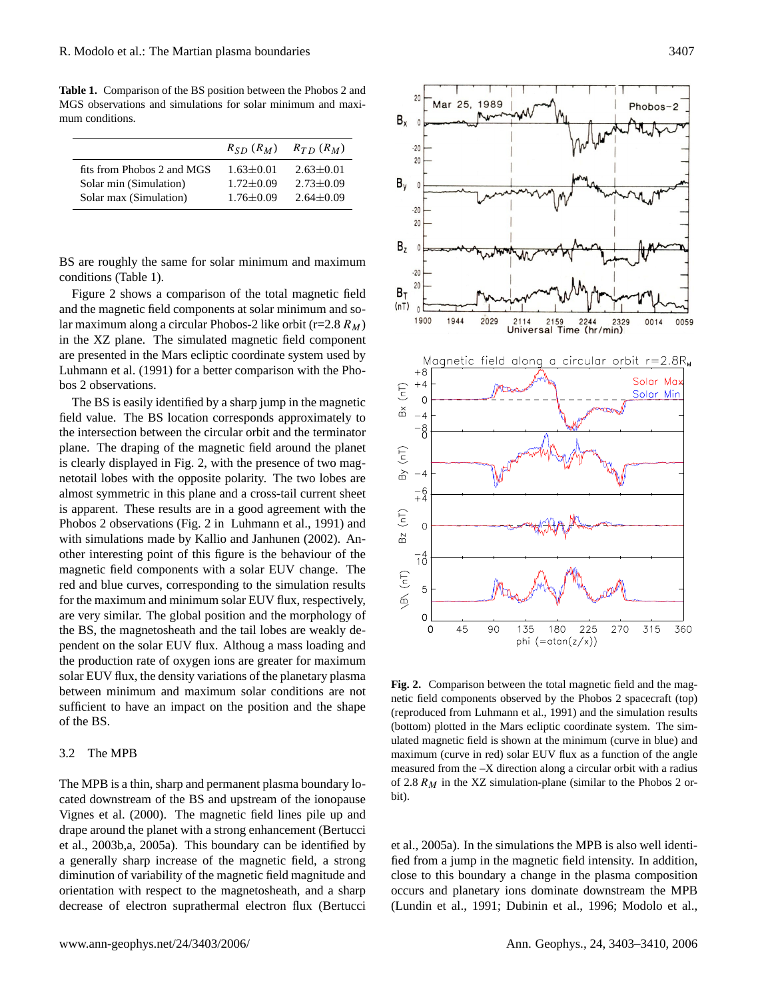<span id="page-4-1"></span>**Table 1.** Comparison of the BS position between the Phobos 2 and MGS observations and simulations for solar minimum and maximum conditions.

|                            | $R_{SD} (R_M)$  | $R_{TD}$ $(R_M)$ |
|----------------------------|-----------------|------------------|
| fits from Phobos 2 and MGS | $1.63 \pm 0.01$ | $2.63 \pm 0.01$  |
| Solar min (Simulation)     | $1.72 \pm 0.09$ | $2.73 \pm 0.09$  |
| Solar max (Simulation)     | $1.76 + 0.09$   | $2.64 \pm 0.09$  |

BS are roughly the same for solar minimum and maximum conditions (Table [1\)](#page-4-1).

Figure [2](#page-4-2) shows a comparison of the total magnetic field and the magnetic field components at solar minimum and solar maximum along a circular Phobos-2 like orbit (r=2.8  $R_M$ ) in the XZ plane. The simulated magnetic field component are presented in the Mars ecliptic coordinate system used by [Luhmann et al.](#page-7-22) [\(1991\)](#page-7-22) for a better comparison with the Phobos 2 observations.

The BS is easily identified by a sharp jump in the magnetic field value. The BS location corresponds approximately to the intersection between the circular orbit and the terminator plane. The draping of the magnetic field around the planet is clearly displayed in Fig. [2,](#page-4-2) with the presence of two magnetotail lobes with the opposite polarity. The two lobes are almost symmetric in this plane and a cross-tail current sheet is apparent. These results are in a good agreement with the Phobos 2 observations (Fig. [2](#page-4-2) in [Luhmann et al.,](#page-7-22) [1991\)](#page-7-22) and with simulations made by [Kallio and Janhunen](#page-7-17) [\(2002\)](#page-7-17). Another interesting point of this figure is the behaviour of the magnetic field components with a solar EUV change. The red and blue curves, corresponding to the simulation results for the maximum and minimum solar EUV flux, respectively, are very similar. The global position and the morphology of the BS, the magnetosheath and the tail lobes are weakly dependent on the solar EUV flux. Althoug a mass loading and the production rate of oxygen ions are greater for maximum solar EUV flux, the density variations of the planetary plasma between minimum and maximum solar conditions are not sufficient to have an impact on the position and the shape of the BS.

### <span id="page-4-0"></span>3.2 The MPB

The MPB is a thin, sharp and permanent plasma boundary located downstream of the BS and upstream of the ionopause [Vignes et al.](#page-7-13) [\(2000\)](#page-7-13). The magnetic field lines pile up and drape around the planet with a strong enhancement [\(Bertucci](#page-6-5) [et al.,](#page-6-5) [2003b,](#page-6-5)[a,](#page-6-4) [2005a\)](#page-6-12). This boundary can be identified by a generally sharp increase of the magnetic field, a strong diminution of variability of the magnetic field magnitude and orientation with respect to the magnetosheath, and a sharp decrease of electron suprathermal electron flux [\(Bertucci](#page-6-12)



<span id="page-4-2"></span>**Fig. 2.** Comparison between the total magnetic field and the magnetic field components observed by the Phobos 2 spacecraft (top) (reproduced from [Luhmann et al.,](#page-7-22) [1991\)](#page-7-22) and the simulation results (bottom) plotted in the Mars ecliptic coordinate system. The simulated magnetic field is shown at the minimum (curve in blue) and maximum (curve in red) solar EUV flux as a function of the angle measured from the –X direction along a circular orbit with a radius of 2.8  $R_M$  in the XZ simulation-plane (similar to the Phobos 2 orbit).

[et al.,](#page-6-12) [2005a\)](#page-6-12). In the simulations the MPB is also well identified from a jump in the magnetic field intensity. In addition, close to this boundary a change in the plasma composition occurs and planetary ions dominate downstream the MPB [\(Lundin et al.,](#page-7-23) [1991;](#page-7-23) [Dubinin et al.,](#page-6-13) [1996;](#page-6-13) [Modolo et al.,](#page-7-6)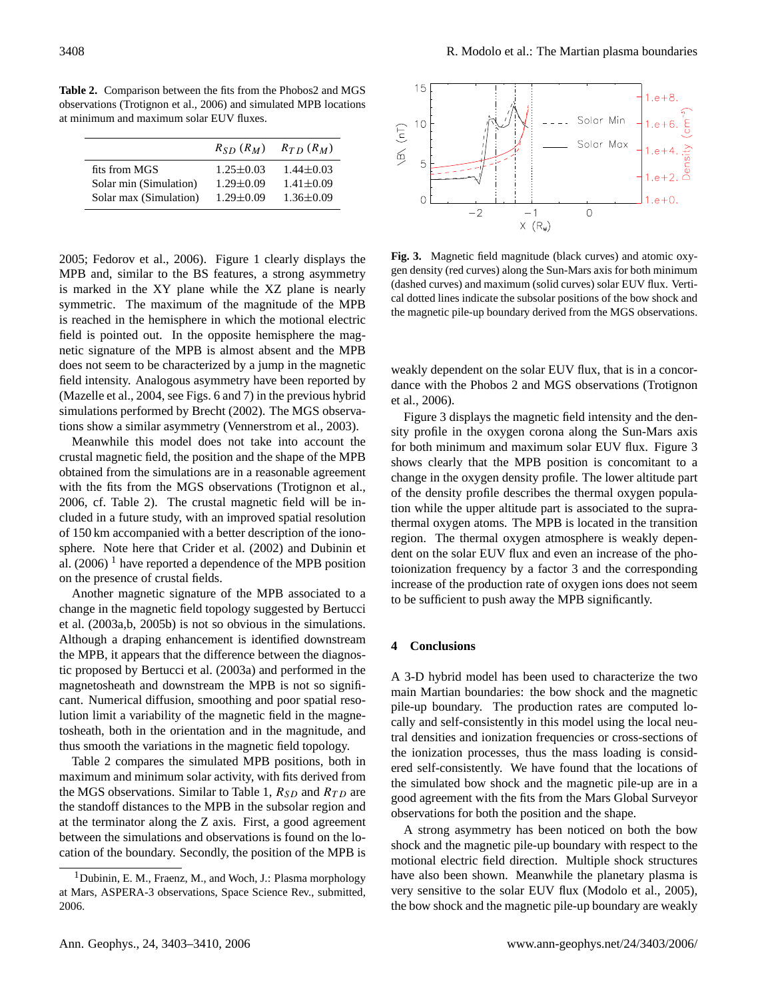<span id="page-5-0"></span>**Table 2.** Comparison between the fits from the Phobos2 and MGS observations [\(Trotignon et al.,](#page-7-14) [2006\)](#page-7-14) and simulated MPB locations at minimum and maximum solar EUV fluxes.

|                        | $R_{SD} (R_M)$  | $R_{TD}$ $(R_M)$ |
|------------------------|-----------------|------------------|
| fits from MGS          | $1.25 + 0.03$   | $1.44 \pm 0.03$  |
| Solar min (Simulation) | $1.29 \pm 0.09$ | $1.41 \pm 0.09$  |
| Solar max (Simulation) | $1.29 \pm 0.09$ | $1.36 \pm 0.09$  |

[2005;](#page-7-6) [Fedorov et al.,](#page-6-14) [2006\)](#page-6-14). Figure [1](#page-2-1) clearly displays the MPB and, similar to the BS features, a strong asymmetry is marked in the XY plane while the XZ plane is nearly symmetric. The maximum of the magnitude of the MPB is reached in the hemisphere in which the motional electric field is pointed out. In the opposite hemisphere the magnetic signature of the MPB is almost absent and the MPB does not seem to be characterized by a jump in the magnetic field intensity. Analogous asymmetry have been reported by [\(Mazelle et al.,](#page-7-0) [2004,](#page-7-0) see Figs. 6 and 7) in the previous hybrid simulations performed by [Brecht](#page-6-15) [\(2002\)](#page-6-15). The MGS observations show a similar asymmetry [\(Vennerstrom et al.,](#page-7-24) [2003\)](#page-7-24).

Meanwhile this model does not take into account the crustal magnetic field, the position and the shape of the MPB obtained from the simulations are in a reasonable agreement with the fits from the MGS observations [\(Trotignon et al.,](#page-7-14) [2006,](#page-7-14) cf. Table [2\)](#page-5-0). The crustal magnetic field will be included in a future study, with an improved spatial resolution of 150 km accompanied with a better description of the ionosphere. Note here that [Crider et al.](#page-6-16) [\(2002\)](#page-6-16) and Dubinin et al.  $(2006)$ <sup>[1](#page-5-1)</sup> have reported a dependence of the MPB position on the presence of crustal fields.

Another magnetic signature of the MPB associated to a change in the magnetic field topology suggested by [Bertucci](#page-6-4) [et al.](#page-6-4) [\(2003a,](#page-6-4)[b,](#page-6-5) [2005b\)](#page-6-17) is not so obvious in the simulations. Although a draping enhancement is identified downstream the MPB, it appears that the difference between the diagnostic proposed by [Bertucci et al.](#page-6-4) [\(2003a\)](#page-6-4) and performed in the magnetosheath and downstream the MPB is not so significant. Numerical diffusion, smoothing and poor spatial resolution limit a variability of the magnetic field in the magnetosheath, both in the orientation and in the magnitude, and thus smooth the variations in the magnetic field topology.

Table [2](#page-5-0) compares the simulated MPB positions, both in maximum and minimum solar activity, with fits derived from the MGS observations. Similar to Table [1,](#page-4-1)  $R_{SD}$  and  $R_{TD}$  are the standoff distances to the MPB in the subsolar region and at the terminator along the Z axis. First, a good agreement between the simulations and observations is found on the location of the boundary. Secondly, the position of the MPB is



<span id="page-5-2"></span>**Fig. 3.** Magnetic field magnitude (black curves) and atomic oxygen density (red curves) along the Sun-Mars axis for both minimum (dashed curves) and maximum (solid curves) solar EUV flux. Vertical dotted lines indicate the subsolar positions of the bow shock and the magnetic pile-up boundary derived from the MGS observations.

weakly dependent on the solar EUV flux, that is in a concordance with the Phobos 2 and MGS observations [\(Trotignon](#page-7-14) [et al.,](#page-7-14) [2006\)](#page-7-14).

Figure [3](#page-5-2) displays the magnetic field intensity and the density profile in the oxygen corona along the Sun-Mars axis for both minimum and maximum solar EUV flux. Figure [3](#page-5-2) shows clearly that the MPB position is concomitant to a change in the oxygen density profile. The lower altitude part of the density profile describes the thermal oxygen population while the upper altitude part is associated to the suprathermal oxygen atoms. The MPB is located in the transition region. The thermal oxygen atmosphere is weakly dependent on the solar EUV flux and even an increase of the photoionization frequency by a factor 3 and the corresponding increase of the production rate of oxygen ions does not seem to be sufficient to push away the MPB significantly.

## **4 Conclusions**

A 3-D hybrid model has been used to characterize the two main Martian boundaries: the bow shock and the magnetic pile-up boundary. The production rates are computed locally and self-consistently in this model using the local neutral densities and ionization frequencies or cross-sections of the ionization processes, thus the mass loading is considered self-consistently. We have found that the locations of the simulated bow shock and the magnetic pile-up are in a good agreement with the fits from the Mars Global Surveyor observations for both the position and the shape.

A strong asymmetry has been noticed on both the bow shock and the magnetic pile-up boundary with respect to the motional electric field direction. Multiple shock structures have also been shown. Meanwhile the planetary plasma is very sensitive to the solar EUV flux [\(Modolo et al.,](#page-7-6) [2005\)](#page-7-6), the bow shock and the magnetic pile-up boundary are weakly

<span id="page-5-1"></span><sup>&</sup>lt;sup>1</sup>Dubinin, E. M., Fraenz, M., and Woch, J.: Plasma morphology at Mars, ASPERA-3 observations, Space Science Rev., submitted, 2006.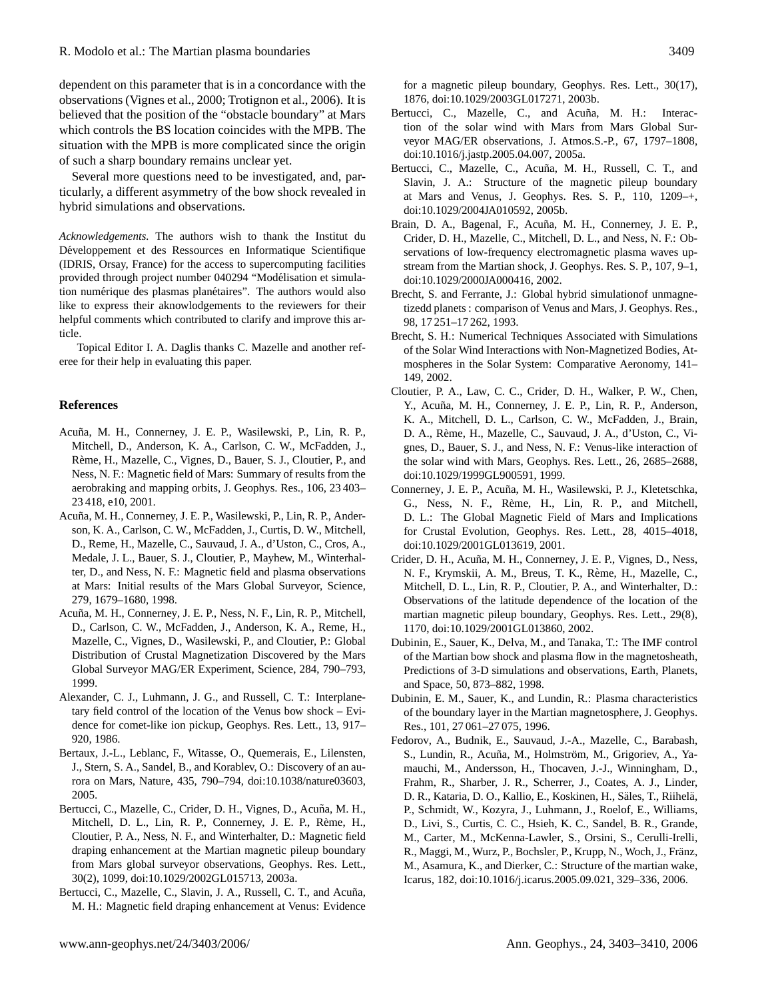dependent on this parameter that is in a concordance with the observations [\(Vignes et al.,](#page-7-13) [2000;](#page-7-13) [Trotignon et al.,](#page-7-14) [2006\)](#page-7-14). It is believed that the position of the "obstacle boundary" at Mars which controls the BS location coincides with the MPB. The situation with the MPB is more complicated since the origin of such a sharp boundary remains unclear yet.

Several more questions need to be investigated, and, particularly, a different asymmetry of the bow shock revealed in hybrid simulations and observations.

*Acknowledgements.* The authors wish to thank the Institut du Développement et des Ressources en Informatique Scientifique (IDRIS, Orsay, France) for the access to supercomputing facilities provided through project number 040294 "Modelisation et simula- ´ tion numérique des plasmas planétaires". The authors would also like to express their aknowlodgements to the reviewers for their helpful comments which contributed to clarify and improve this article.

Topical Editor I. A. Daglis thanks C. Mazelle and another referee for their help in evaluating this paper.

# **References**

- <span id="page-6-3"></span>Acuña, M. H., Connerney, J. E. P., Wasilewski, P., Lin, R. P., Mitchell, D., Anderson, K. A., Carlson, C. W., McFadden, J., Rème, H., Mazelle, C., Vignes, D., Bauer, S. J., Cloutier, P., and Ness, N. F.: Magnetic field of Mars: Summary of results from the aerobraking and mapping orbits, J. Geophys. Res., 106, 23 403– 23 418, e10, 2001.
- <span id="page-6-0"></span>Acuña, M. H., Connerney, J. E. P., Wasilewski, P., Lin, R. P., Anderson, K. A., Carlson, C. W., McFadden, J., Curtis, D. W., Mitchell, D., Reme, H., Mazelle, C., Sauvaud, J. A., d'Uston, C., Cros, A., Medale, J. L., Bauer, S. J., Cloutier, P., Mayhew, M., Winterhalter, D., and Ness, N. F.: Magnetic field and plasma observations at Mars: Initial results of the Mars Global Surveyor, Science, 279, 1679–1680, 1998.
- <span id="page-6-2"></span>Acuña, M. H., Connerney, J. E. P., Ness, N. F., Lin, R. P., Mitchell, D., Carlson, C. W., McFadden, J., Anderson, K. A., Reme, H., Mazelle, C., Vignes, D., Wasilewski, P., and Cloutier, P.: Global Distribution of Crustal Magnetization Discovered by the Mars Global Surveyor MAG/ER Experiment, Science, 284, 790–793, 1999.
- <span id="page-6-10"></span>Alexander, C. J., Luhmann, J. G., and Russell, C. T.: Interplanetary field control of the location of the Venus bow shock – Evidence for comet-like ion pickup, Geophys. Res. Lett., 13, 917– 920, 1986.
- <span id="page-6-8"></span>Bertaux, J.-L., Leblanc, F., Witasse, O., Quemerais, E., Lilensten, J., Stern, S. A., Sandel, B., and Korablev, O.: Discovery of an aurora on Mars, Nature, 435, 790–794, doi:10.1038/nature03603, 2005.
- <span id="page-6-4"></span>Bertucci, C., Mazelle, C., Crider, D. H., Vignes, D., Acuña, M. H., Mitchell, D. L., Lin, R. P., Connerney, J. E. P., Rème, H., Cloutier, P. A., Ness, N. F., and Winterhalter, D.: Magnetic field draping enhancement at the Martian magnetic pileup boundary from Mars global surveyor observations, Geophys. Res. Lett., 30(2), 1099, doi:10.1029/2002GL015713, 2003a.
- <span id="page-6-5"></span>Bertucci, C., Mazelle, C., Slavin, J. A., Russell, C. T., and Acuña, M. H.: Magnetic field draping enhancement at Venus: Evidence

for a magnetic pileup boundary, Geophys. Res. Lett., 30(17), 1876, doi:10.1029/2003GL017271, 2003b.

- <span id="page-6-12"></span>Bertucci, C., Mazelle, C., and Acuña, M. H.: Interaction of the solar wind with Mars from Mars Global Surveyor MAG/ER observations, J. Atmos.S.-P., 67, 1797–1808, doi:10.1016/j.jastp.2005.04.007, 2005a.
- <span id="page-6-17"></span>Bertucci, C., Mazelle, C., Acuña, M. H., Russell, C. T., and Slavin, J. A.: Structure of the magnetic pileup boundary at Mars and Venus, J. Geophys. Res. S. P., 110, 1209–+, doi:10.1029/2004JA010592, 2005b.
- <span id="page-6-7"></span>Brain, D. A., Bagenal, F., Acuña, M. H., Connerney, J. E. P., Crider, D. H., Mazelle, C., Mitchell, D. L., and Ness, N. F.: Observations of low-frequency electromagnetic plasma waves upstream from the Martian shock, J. Geophys. Res. S. P., 107, 9–1, doi:10.1029/2000JA000416, 2002.
- <span id="page-6-6"></span>Brecht, S. and Ferrante, J.: Global hybrid simulationof unmagnetizedd planets : comparison of Venus and Mars, J. Geophys. Res., 98, 17 251–17 262, 1993.
- <span id="page-6-15"></span>Brecht, S. H.: Numerical Techniques Associated with Simulations of the Solar Wind Interactions with Non-Magnetized Bodies, Atmospheres in the Solar System: Comparative Aeronomy, 141– 149, 2002.
- <span id="page-6-11"></span>Cloutier, P. A., Law, C. C., Crider, D. H., Walker, P. W., Chen, Y., Acuña, M. H., Connerney, J. E. P., Lin, R. P., Anderson, K. A., Mitchell, D. L., Carlson, C. W., McFadden, J., Brain, D. A., Reme, H., Mazelle, C., Sauvaud, J. A., d'Uston, C., Vi- ` gnes, D., Bauer, S. J., and Ness, N. F.: Venus-like interaction of the solar wind with Mars, Geophys. Res. Lett., 26, 2685–2688, doi:10.1029/1999GL900591, 1999.
- <span id="page-6-1"></span>Connerney, J. E. P., Acuña, M. H., Wasilewski, P. J., Kletetschka, G., Ness, N. F., Rème, H., Lin, R. P., and Mitchell, D. L.: The Global Magnetic Field of Mars and Implications for Crustal Evolution, Geophys. Res. Lett., 28, 4015–4018, doi:10.1029/2001GL013619, 2001.
- <span id="page-6-16"></span>Crider, D. H., Acuña, M. H., Connerney, J. E. P., Vignes, D., Ness, N. F., Krymskii, A. M., Breus, T. K., Reme, H., Mazelle, C., ` Mitchell, D. L., Lin, R. P., Cloutier, P. A., and Winterhalter, D.: Observations of the latitude dependence of the location of the martian magnetic pileup boundary, Geophys. Res. Lett., 29(8), 1170, doi:10.1029/2001GL013860, 2002.
- <span id="page-6-9"></span>Dubinin, E., Sauer, K., Delva, M., and Tanaka, T.: The IMF control of the Martian bow shock and plasma flow in the magnetosheath, Predictions of 3-D simulations and observations, Earth, Planets, and Space, 50, 873–882, 1998.
- <span id="page-6-13"></span>Dubinin, E. M., Sauer, K., and Lundin, R.: Plasma characteristics of the boundary layer in the Martian magnetosphere, J. Geophys. Res., 101, 27 061–27 075, 1996.
- <span id="page-6-14"></span>Fedorov, A., Budnik, E., Sauvaud, J.-A., Mazelle, C., Barabash, S., Lundin, R., Acuña, M., Holmström, M., Grigoriev, A., Yamauchi, M., Andersson, H., Thocaven, J.-J., Winningham, D., Frahm, R., Sharber, J. R., Scherrer, J., Coates, A. J., Linder, D. R., Kataria, D. O., Kallio, E., Koskinen, H., Säles, T., Riihelä, P., Schmidt, W., Kozyra, J., Luhmann, J., Roelof, E., Williams, D., Livi, S., Curtis, C. C., Hsieh, K. C., Sandel, B. R., Grande, M., Carter, M., McKenna-Lawler, S., Orsini, S., Cerulli-Irelli, R., Maggi, M., Wurz, P., Bochsler, P., Krupp, N., Woch, J., Fränz, M., Asamura, K., and Dierker, C.: Structure of the martian wake, Icarus, 182, doi:10.1016/j.icarus.2005.09.021, 329–336, 2006.